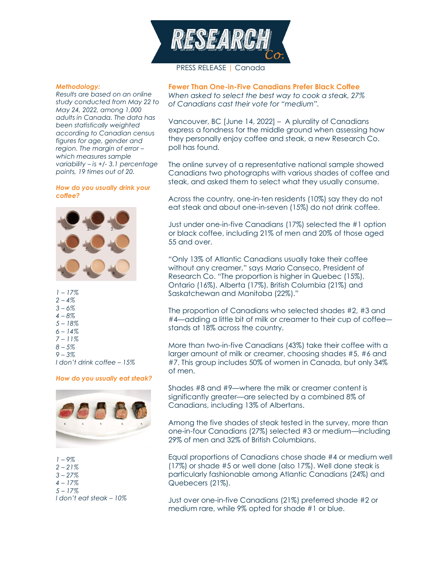

# *Methodology:*

*Results are based on an online study conducted from May 22 to May 24, 2022, among 1,000 adults in Canada. The data has been statistically weighted according to Canadian census figures for age, gender and region. The margin of error – which measures sample variability – is +/- 3.1 percentage points, 19 times out of 20.* 

#### *How do you usually drink your coffee?*



*1 – 17% 2 – 4% 3 – 6% 4 – 8% 5 – 18% 6 – 14% 7 – 11% 8 – 5% 9 – 3% I don't drink coffee – 15%*

#### *How do you usually eat steak?*



*1 – 9% 2 – 21% 3 – 27% 4 – 17% 5 – 17% I don't eat steak – 10%*

#### **Fewer Than One-in-Five Canadians Prefer Black Coffee**

*When asked to select the best way to cook a steak, 27% of Canadians cast their vote for "medium".*

Vancouver, BC [June 14, 2022] – A plurality of Canadians express a fondness for the middle ground when assessing how they personally enjoy coffee and steak, a new Research Co. poll has found.

The online survey of a representative national sample showed Canadians two photographs with various shades of coffee and steak, and asked them to select what they usually consume.

Across the country, one-in-ten residents (10%) say they do not eat steak and about one-in-seven (15%) do not drink coffee.

Just under one-in-five Canadians (17%) selected the #1 option or black coffee, including 21% of men and 20% of those aged 55 and over.

"Only 13% of Atlantic Canadians usually take their coffee without any creamer," says Mario Canseco, President of Research Co. "The proportion is higher in Quebec (15%), Ontario (16%), Alberta (17%), British Columbia (21%) and Saskatchewan and Manitoba (22%)."

The proportion of Canadians who selected shades #2, #3 and #4—adding a little bit of milk or creamer to their cup of coffee stands at 18% across the country.

More than two-in-five Canadians (43%) take their coffee with a larger amount of milk or creamer, choosing shades #5, #6 and #7. This group includes 50% of women in Canada, but only 34% of men.

Shades #8 and #9—where the milk or creamer content is significantly greater—are selected by a combined 8% of Canadians, including 13% of Albertans.

Among the five shades of steak tested in the survey, more than one-in-four Canadians (27%) selected #3 or medium—including 29% of men and 32% of British Columbians.

Equal proportions of Canadians chose shade #4 or medium well (17%) or shade #5 or well done (also 17%). Well done steak is particularly fashionable among Atlantic Canadians (24%) and Quebecers (21%).

Just over one-in-five Canadians (21%) preferred shade #2 or medium rare, while 9% opted for shade #1 or blue.